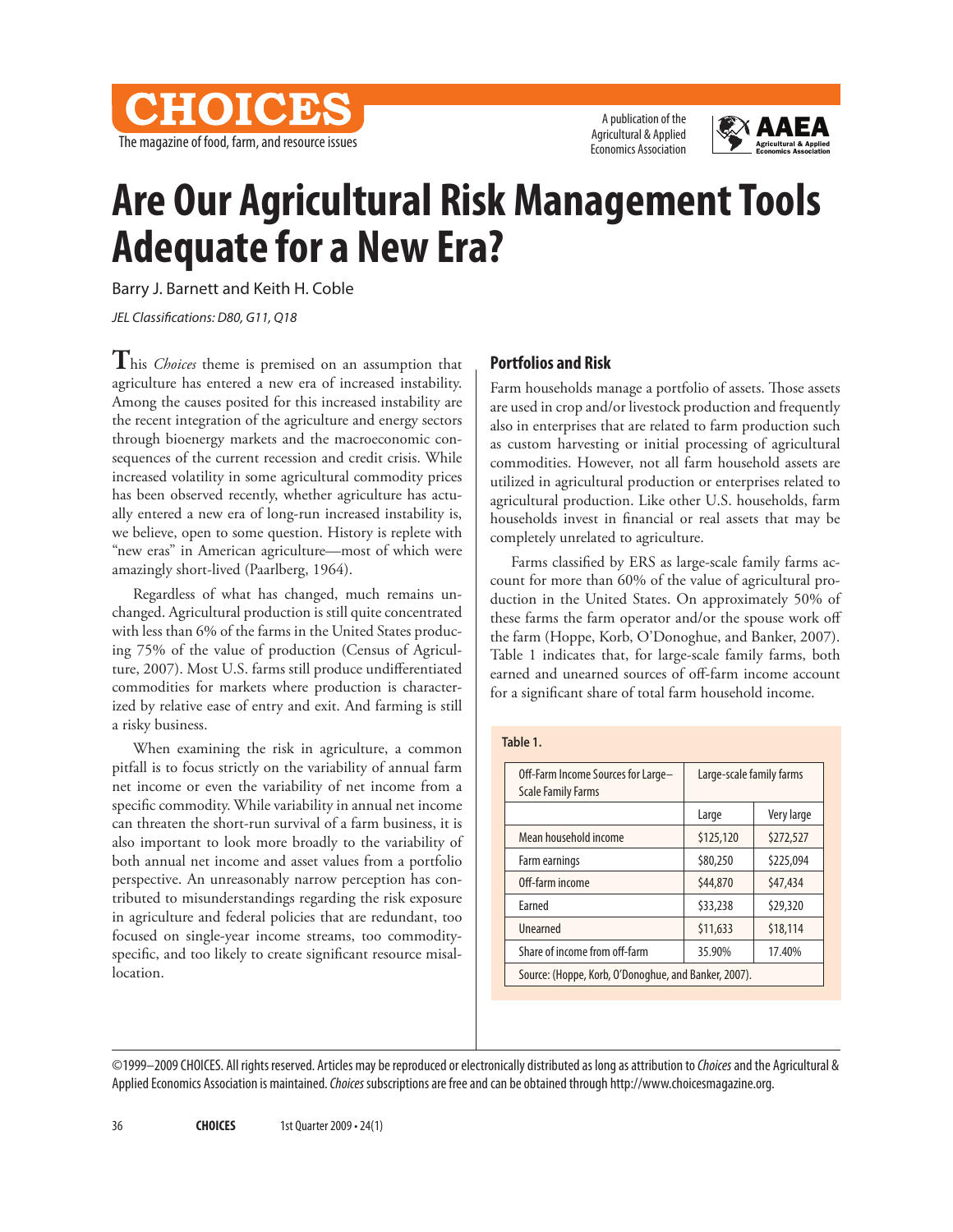

A publication of the Agricultural & Applied Economics Association



# **Are Our Agricultural Risk Management Tools Adequate for a New Era?**

Barry J. Barnett and Keith H. Coble

*JEL Classifications: D80, G11, Q18* 

**T**his *Choices* theme is premised on an assumption that agriculture has entered a new era of increased instability. Among the causes posited for this increased instability are the recent integration of the agriculture and energy sectors through bioenergy markets and the macroeconomic consequences of the current recession and credit crisis. While increased volatility in some agricultural commodity prices has been observed recently, whether agriculture has actually entered a new era of long-run increased instability is, we believe, open to some question. History is replete with "new eras" in American agriculture—most of which were amazingly short-lived (Paarlberg, 1964).

Regardless of what has changed, much remains unchanged. Agricultural production is still quite concentrated with less than 6% of the farms in the United States producing 75% of the value of production (Census of Agriculture, 2007). Most U.S. farms still produce undifferentiated commodities for markets where production is characterized by relative ease of entry and exit. And farming is still a risky business.

When examining the risk in agriculture, a common pitfall is to focus strictly on the variability of annual farm net income or even the variability of net income from a specific commodity. While variability in annual net income can threaten the short-run survival of a farm business, it is also important to look more broadly to the variability of both annual net income and asset values from a portfolio perspective. An unreasonably narrow perception has contributed to misunderstandings regarding the risk exposure in agriculture and federal policies that are redundant, too focused on single-year income streams, too commodityspecific, and too likely to create significant resource misallocation.

## **Portfolios and Risk**

Farm households manage a portfolio of assets. Those assets are used in crop and/or livestock production and frequently also in enterprises that are related to farm production such as custom harvesting or initial processing of agricultural commodities. However, not all farm household assets are utilized in agricultural production or enterprises related to agricultural production. Like other U.S. households, farm households invest in financial or real assets that may be completely unrelated to agriculture.

Farms classified by ERS as large-scale family farms account for more than 60% of the value of agricultural production in the United States. On approximately 50% of these farms the farm operator and/or the spouse work off the farm (Hoppe, Korb, O'Donoghue, and Banker, 2007). Table 1 indicates that, for large-scale family farms, both earned and unearned sources of off-farm income account for a significant share of total farm household income.

#### **Table 1.**

| Off-Farm Income Sources for Large-<br><b>Scale Family Farms</b> | Large-scale family farms |            |
|-----------------------------------------------------------------|--------------------------|------------|
|                                                                 | Large                    | Very large |
| Mean household income                                           | \$125,120                | \$272,527  |
| Farm earnings                                                   | \$80,250                 | \$225,094  |
| Off-farm income                                                 | \$44,870                 | \$47,434   |
| Farned                                                          | \$33,238                 | \$29,320   |
| Unearned                                                        | \$11,633                 | \$18,114   |
| Share of income from off-farm                                   | 35.90%                   | 17.40%     |
| Source: (Hoppe, Korb, O'Donoghue, and Banker, 2007).            |                          |            |

©1999–2009 CHOICES. All rights reserved. Articles may be reproduced or electronically distributed as long as attribution to *Choices* and the Agricultural & Applied Economics Association is maintained. *Choices* subscriptions are free and can be obtained through http://www.choicesmagazine.org.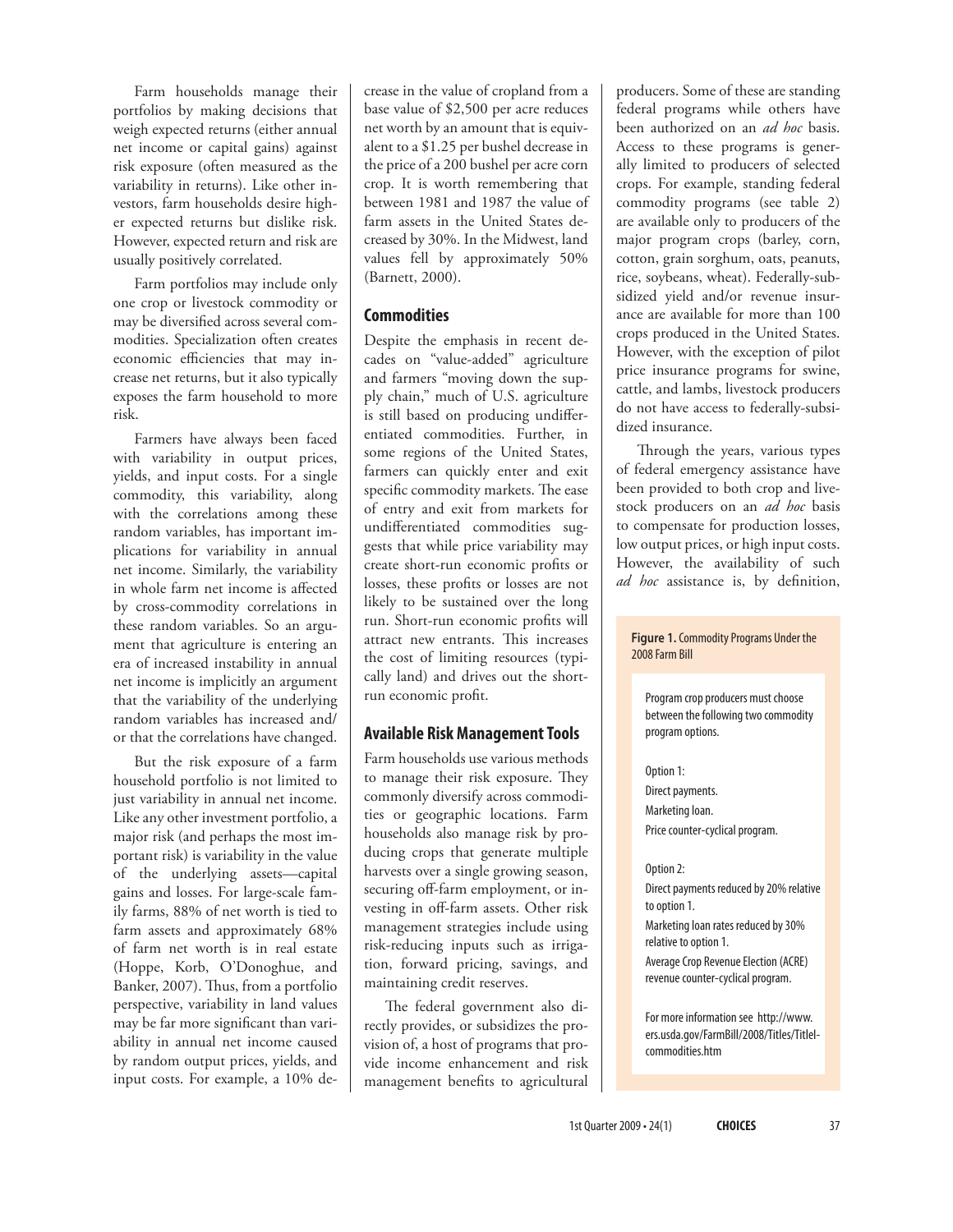Farm households manage their portfolios by making decisions that weigh expected returns (either annual net income or capital gains) against risk exposure (often measured as the variability in returns). Like other investors, farm households desire higher expected returns but dislike risk. However, expected return and risk are usually positively correlated.

Farm portfolios may include only one crop or livestock commodity or may be diversified across several commodities. Specialization often creates economic efficiencies that may increase net returns, but it also typically exposes the farm household to more risk.

Farmers have always been faced with variability in output prices, yields, and input costs. For a single commodity, this variability, along with the correlations among these random variables, has important implications for variability in annual net income. Similarly, the variability in whole farm net income is affected by cross-commodity correlations in these random variables. So an argument that agriculture is entering an era of increased instability in annual net income is implicitly an argument that the variability of the underlying random variables has increased and/ or that the correlations have changed.

But the risk exposure of a farm household portfolio is not limited to just variability in annual net income. Like any other investment portfolio, a major risk (and perhaps the most important risk) is variability in the value of the underlying assets—capital gains and losses. For large-scale family farms, 88% of net worth is tied to farm assets and approximately 68% of farm net worth is in real estate (Hoppe, Korb, O'Donoghue, and Banker, 2007). Thus, from a portfolio perspective, variability in land values may be far more significant than variability in annual net income caused by random output prices, yields, and input costs. For example, a 10% decrease in the value of cropland from a base value of \$2,500 per acre reduces net worth by an amount that is equivalent to a \$1.25 per bushel decrease in the price of a 200 bushel per acre corn crop. It is worth remembering that between 1981 and 1987 the value of farm assets in the United States decreased by 30%. In the Midwest, land values fell by approximately 50% (Barnett, 2000).

## **Commodities**

Despite the emphasis in recent decades on "value-added" agriculture and farmers "moving down the supply chain," much of U.S. agriculture is still based on producing undifferentiated commodities. Further, in some regions of the United States, farmers can quickly enter and exit specific commodity markets. The ease of entry and exit from markets for undifferentiated commodities suggests that while price variability may create short-run economic profits or losses, these profits or losses are not likely to be sustained over the long run. Short-run economic profits will attract new entrants. This increases the cost of limiting resources (typically land) and drives out the shortrun economic profit.

# **Available Risk Management Tools**

Farm households use various methods to manage their risk exposure. They commonly diversify across commodities or geographic locations. Farm households also manage risk by producing crops that generate multiple harvests over a single growing season, securing off-farm employment, or investing in off-farm assets. Other risk management strategies include using risk-reducing inputs such as irrigation, forward pricing, savings, and maintaining credit reserves.

The federal government also directly provides, or subsidizes the provision of, a host of programs that provide income enhancement and risk management benefits to agricultural producers. Some of these are standing federal programs while others have been authorized on an *ad hoc* basis. Access to these programs is generally limited to producers of selected crops. For example, standing federal commodity programs (see table 2) are available only to producers of the major program crops (barley, corn, cotton, grain sorghum, oats, peanuts, rice, soybeans, wheat). Federally-subsidized yield and/or revenue insurance are available for more than 100 crops produced in the United States. However, with the exception of pilot price insurance programs for swine, cattle, and lambs, livestock producers do not have access to federally-subsidized insurance.

Through the years, various types of federal emergency assistance have been provided to both crop and livestock producers on an *ad hoc* basis to compensate for production losses, low output prices, or high input costs. However, the availability of such *ad hoc* assistance is, by definition,

### **Figure 1.** Commodity Programs Under the 2008 Farm Bill

Program crop producers must choose between the following two commodity program options.

Option 1: Direct payments. Marketing loan. Price counter-cyclical program.

## Option 2:

Direct payments reduced by 20% relative to option 1. Marketing loan rates reduced by 30% relative to option 1. Average Crop Revenue Election (ACRE) revenue counter-cyclical program.

For more information see http://www. ers.usda.gov/FarmBill/2008/Titles/TitleIcommodities.htm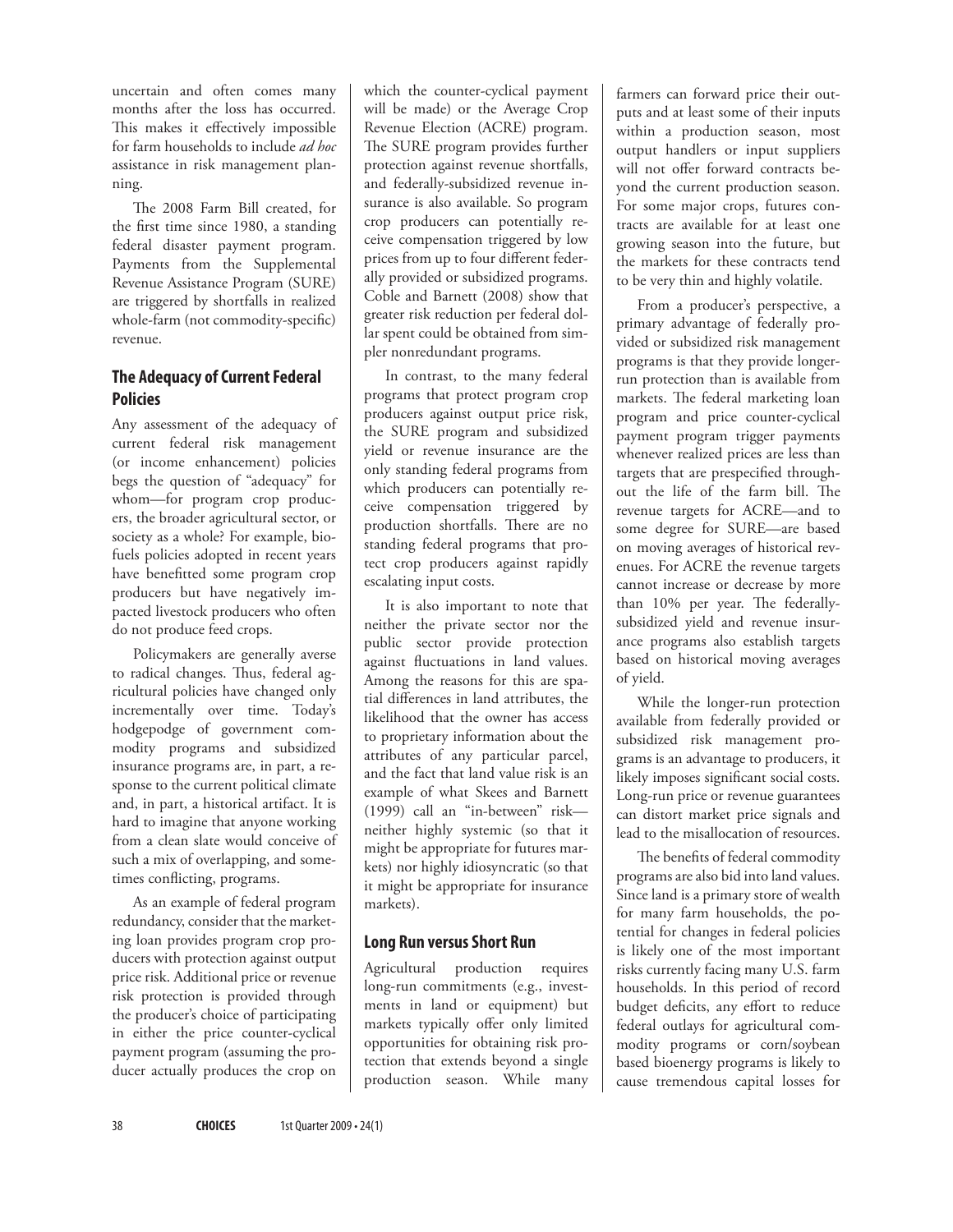uncertain and often comes many months after the loss has occurred. This makes it effectively impossible for farm households to include *ad hoc*  assistance in risk management planning.

The 2008 Farm Bill created, for the first time since 1980, a standing federal disaster payment program. Payments from the Supplemental Revenue Assistance Program (SURE) are triggered by shortfalls in realized whole-farm (not commodity-specific) revenue.

# **The Adequacy of Current Federal Policies**

Any assessment of the adequacy of current federal risk management (or income enhancement) policies begs the question of "adequacy" for whom—for program crop producers, the broader agricultural sector, or society as a whole? For example, biofuels policies adopted in recent years have benefitted some program crop producers but have negatively impacted livestock producers who often do not produce feed crops.

Policymakers are generally averse to radical changes. Thus, federal agricultural policies have changed only incrementally over time. Today's hodgepodge of government commodity programs and subsidized insurance programs are, in part, a response to the current political climate and, in part, a historical artifact. It is hard to imagine that anyone working from a clean slate would conceive of such a mix of overlapping, and sometimes conflicting, programs.

As an example of federal program redundancy, consider that the marketing loan provides program crop producers with protection against output price risk. Additional price or revenue risk protection is provided through the producer's choice of participating in either the price counter-cyclical payment program (assuming the producer actually produces the crop on

which the counter-cyclical payment will be made) or the Average Crop Revenue Election (ACRE) program. The SURE program provides further protection against revenue shortfalls, and federally-subsidized revenue insurance is also available. So program crop producers can potentially receive compensation triggered by low prices from up to four different federally provided or subsidized programs. Coble and Barnett (2008) show that greater risk reduction per federal dollar spent could be obtained from simpler nonredundant programs.

In contrast, to the many federal programs that protect program crop producers against output price risk, the SURE program and subsidized yield or revenue insurance are the only standing federal programs from which producers can potentially receive compensation triggered by production shortfalls. There are no standing federal programs that protect crop producers against rapidly escalating input costs.

It is also important to note that neither the private sector nor the public sector provide protection against fluctuations in land values. Among the reasons for this are spatial differences in land attributes, the likelihood that the owner has access to proprietary information about the attributes of any particular parcel, and the fact that land value risk is an example of what Skees and Barnett (1999) call an "in-between" risk neither highly systemic (so that it might be appropriate for futures markets) nor highly idiosyncratic (so that it might be appropriate for insurance markets).

# **Long Run versus Short Run**

Agricultural production requires long-run commitments (e.g., investments in land or equipment) but markets typically offer only limited opportunities for obtaining risk protection that extends beyond a single production season. While many

farmers can forward price their outputs and at least some of their inputs within a production season, most output handlers or input suppliers will not offer forward contracts beyond the current production season. For some major crops, futures contracts are available for at least one growing season into the future, but the markets for these contracts tend to be very thin and highly volatile.

From a producer's perspective, a primary advantage of federally provided or subsidized risk management programs is that they provide longerrun protection than is available from markets. The federal marketing loan program and price counter-cyclical payment program trigger payments whenever realized prices are less than targets that are prespecified throughout the life of the farm bill. The revenue targets for ACRE—and to some degree for SURE—are based on moving averages of historical revenues. For ACRE the revenue targets cannot increase or decrease by more than 10% per year. The federallysubsidized yield and revenue insurance programs also establish targets based on historical moving averages of yield.

While the longer-run protection available from federally provided or subsidized risk management programs is an advantage to producers, it likely imposes significant social costs. Long-run price or revenue guarantees can distort market price signals and lead to the misallocation of resources.

The benefits of federal commodity programs are also bid into land values. Since land is a primary store of wealth for many farm households, the potential for changes in federal policies is likely one of the most important risks currently facing many U.S. farm households. In this period of record budget deficits, any effort to reduce federal outlays for agricultural commodity programs or corn/soybean based bioenergy programs is likely to cause tremendous capital losses for